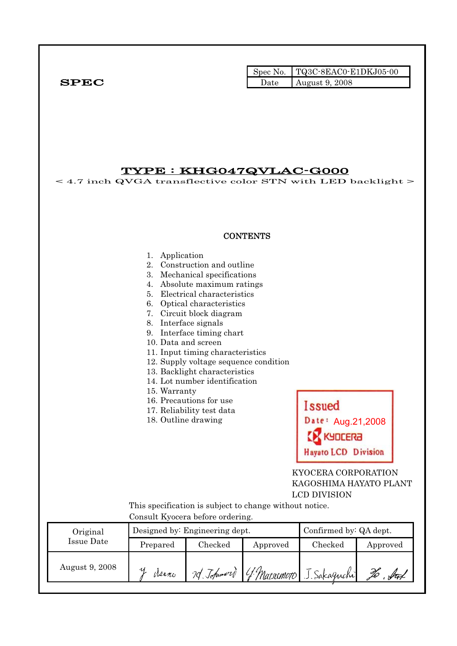|              |      | $\blacksquare$ Spec No. $\blacksquare$ TQ3C-8EAC0-E1DKJ05-00 |
|--------------|------|--------------------------------------------------------------|
| ${\bf SPEC}$ | Date | August 9, 2008                                               |

TYPE : KHG047QVLAC-G000  $<$  4.7 inch QVGA transflective color STN with LED backlight  $>$ **CONTENTS** 1. Application 2. Construction and outline 3. Mechanical specifications 4. Absolute maximum ratings 5. Electrical characteristics 6. Optical characteristics 7. Circuit block diagram 8. Interface signals 9. Interface timing chart 10. Data and screen 11. Input timing characteristics 12. Supply voltage sequence condition 13. Backlight characteristics 14. Lot number identification 15. Warranty 16. Precautions for use **Issued** 17. Reliability test data Date: Aug.21,2008 18. Outline drawing **DCERA Havato LCD Division**  KYOCERA CORPORATION KAGOSHIMA HAYATO PLANT LCD DIVISION This specification is subject to change without notice. Consult Kyocera before ordering. Original Designed by: Engineering dept. Confirmed by: QA dept. Issue Date Prepared Checked Approved Checked Approved August 9, 2008 y derno 7d Johnson G. Matsemoto To . Stat J. Sakaguchi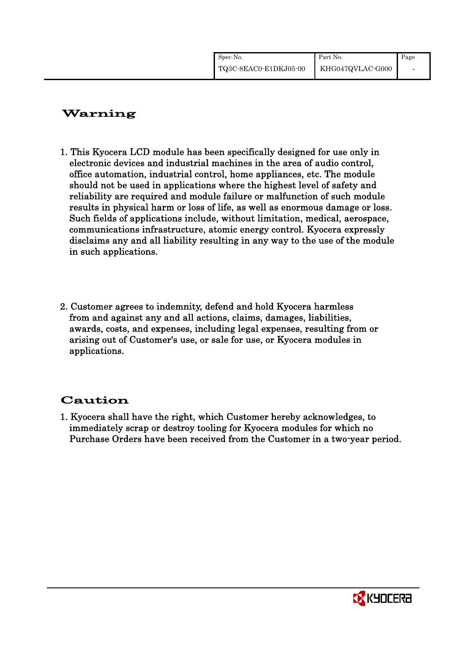| Spec No.              | Part No.         | Page |
|-----------------------|------------------|------|
| TQ3C-8EAC0-E1DKJ05-00 | KHG047QVLAC-G000 |      |

# Warning

- 1. This Kyocera LCD module has been specifically designed for use only in electronic devices and industrial machines in the area of audio control, office automation, industrial control, home appliances, etc. The module should not be used in applications where the highest level of safety and reliability are required and module failure or malfunction of such module results in physical harm or loss of life, as well as enormous damage or loss. Such fields of applications include, without limitation, medical, aerospace, communications infrastructure, atomic energy control. Kyocera expressly disclaims any and all liability resulting in any way to the use of the module in such applications.
- 2. Customer agrees to indemnity, defend and hold Kyocera harmless from and against any and all actions, claims, damages, liabilities, awards, costs, and expenses, including legal expenses, resulting from or arising out of Customer's use, or sale for use, or Kyocera modules in applications.

# Caution

1. Kyocera shall have the right, which Customer hereby acknowledges, to immediately scrap or destroy tooling for Kyocera modules for which no Purchase Orders have been received from the Customer in a two-year period.

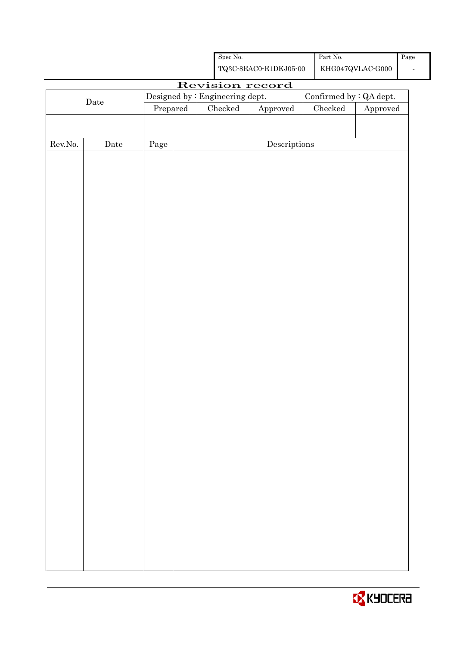|                                                |                 |            |                                                    | ${\rm Spec}$ No. |                                      |  | $\operatorname*{Part}% \nolimits_{\mathbb{Z}}\nolimits\mathbb{Z}^{\Sigma}$ No. |          | Page |  |
|------------------------------------------------|-----------------|------------|----------------------------------------------------|------------------|--------------------------------------|--|--------------------------------------------------------------------------------|----------|------|--|
|                                                |                 |            | ${\bf TQ3C\text{-}SEAC0\text{-}E1DKJ05\text{-}00}$ |                  |                                      |  | $\operatorname{KHG047QVLAC\text{-}G000}$                                       |          |      |  |
|                                                | Revision record |            |                                                    |                  |                                      |  |                                                                                |          |      |  |
| Designed by : Engineering dept.<br>$\rm{Date}$ |                 |            |                                                    |                  |                                      |  | Confirmed by : QA dept.                                                        |          |      |  |
|                                                |                 | Prepared   |                                                    | $\rm Checked$    | Approved                             |  | ${\it Checked}$                                                                | Approved |      |  |
|                                                |                 |            |                                                    |                  |                                      |  |                                                                                |          |      |  |
|                                                |                 |            |                                                    |                  |                                      |  |                                                                                |          |      |  |
| ${\rm Rev. No.}$                               | Date            | $\rm Page$ |                                                    |                  | $\label{eq:2} \textbf{Descriptions}$ |  |                                                                                |          |      |  |
|                                                |                 |            |                                                    |                  |                                      |  |                                                                                |          |      |  |
|                                                |                 |            |                                                    |                  |                                      |  |                                                                                |          |      |  |
|                                                |                 |            |                                                    |                  |                                      |  |                                                                                |          |      |  |
|                                                |                 |            |                                                    |                  |                                      |  |                                                                                |          |      |  |
|                                                |                 |            |                                                    |                  |                                      |  |                                                                                |          |      |  |
|                                                |                 |            |                                                    |                  |                                      |  |                                                                                |          |      |  |
|                                                |                 |            |                                                    |                  |                                      |  |                                                                                |          |      |  |
|                                                |                 |            |                                                    |                  |                                      |  |                                                                                |          |      |  |
|                                                |                 |            |                                                    |                  |                                      |  |                                                                                |          |      |  |
|                                                |                 |            |                                                    |                  |                                      |  |                                                                                |          |      |  |
|                                                |                 |            |                                                    |                  |                                      |  |                                                                                |          |      |  |
|                                                |                 |            |                                                    |                  |                                      |  |                                                                                |          |      |  |
|                                                |                 |            |                                                    |                  |                                      |  |                                                                                |          |      |  |
|                                                |                 |            |                                                    |                  |                                      |  |                                                                                |          |      |  |
|                                                |                 |            |                                                    |                  |                                      |  |                                                                                |          |      |  |
|                                                |                 |            |                                                    |                  |                                      |  |                                                                                |          |      |  |
|                                                |                 |            |                                                    |                  |                                      |  |                                                                                |          |      |  |
|                                                |                 |            |                                                    |                  |                                      |  |                                                                                |          |      |  |
|                                                |                 |            |                                                    |                  |                                      |  |                                                                                |          |      |  |
|                                                |                 |            |                                                    |                  |                                      |  |                                                                                |          |      |  |
|                                                |                 |            |                                                    |                  |                                      |  |                                                                                |          |      |  |
|                                                |                 |            |                                                    |                  |                                      |  |                                                                                |          |      |  |
|                                                |                 |            |                                                    |                  |                                      |  |                                                                                |          |      |  |
|                                                |                 |            |                                                    |                  |                                      |  |                                                                                |          |      |  |
|                                                |                 |            |                                                    |                  |                                      |  |                                                                                |          |      |  |
|                                                |                 |            |                                                    |                  |                                      |  |                                                                                |          |      |  |
|                                                |                 |            |                                                    |                  |                                      |  |                                                                                |          |      |  |
|                                                |                 |            |                                                    |                  |                                      |  |                                                                                |          |      |  |
|                                                |                 |            |                                                    |                  |                                      |  |                                                                                |          |      |  |
|                                                |                 |            |                                                    |                  |                                      |  |                                                                                |          |      |  |
|                                                |                 |            |                                                    |                  |                                      |  |                                                                                |          |      |  |
|                                                |                 |            |                                                    |                  |                                      |  |                                                                                |          |      |  |
|                                                |                 |            |                                                    |                  |                                      |  |                                                                                |          |      |  |
|                                                |                 |            |                                                    |                  |                                      |  |                                                                                |          |      |  |

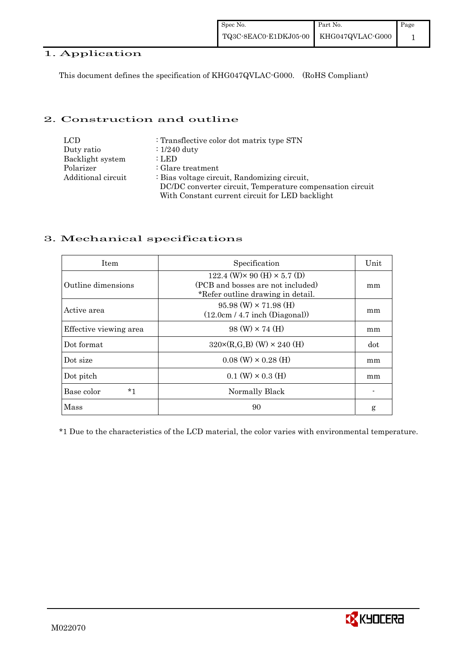#### 1. Application

This document defines the specification of KHG047QVLAC-G000. (RoHS Compliant)

#### 2. Construction and outline

| <b>LCD</b>         | : Transflective color dot matrix type STN                 |
|--------------------|-----------------------------------------------------------|
| Duty ratio         | $\div 1/240$ duty                                         |
| Backlight system   | : LED                                                     |
| Polarizer          | $\therefore$ Glare treatment                              |
| Additional circuit | : Bias voltage circuit, Randomizing circuit,              |
|                    | DC/DC converter circuit, Temperature compensation circuit |
|                    | With Constant current circuit for LED backlight           |

#### 3. Mechanical specifications

| <b>Item</b>            | Specification                                                                                                        | Unit |
|------------------------|----------------------------------------------------------------------------------------------------------------------|------|
| Outline dimensions     | 122.4 (W) $\times$ 90 (H) $\times$ 5.7 (D)<br>(PCB and bosses are not included)<br>*Refer outline drawing in detail. | mm   |
| Active area            | $95.98$ (W) $\times$ 71.98 (H)<br>(12.0cm / 4.7 inch (Diagonal))                                                     | mm   |
| Effective viewing area | $98 \text{ (W)} \times 74 \text{ (H)}$                                                                               | mm   |
| Dot format             | $320 \times (R, G, B)$ (W) $\times 240$ (H)                                                                          | dot  |
| Dot size               | $0.08$ (W) $\times$ 0.28 (H)                                                                                         | mm   |
| Dot pitch              | $0.1$ (W) $\times$ 0.3 (H)                                                                                           | mm   |
| $*1$<br>Base color     | Normally Black                                                                                                       |      |
| Mass                   | 90                                                                                                                   | g    |

\*1 Due to the characteristics of the LCD material, the color varies with environmental temperature.

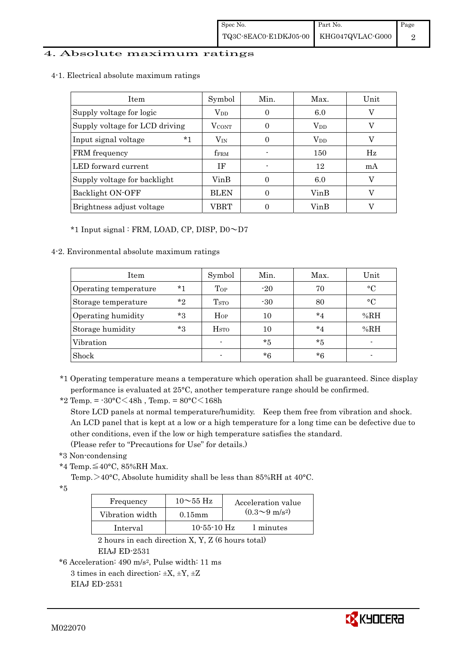#### 4. Absolute maximum ratings

4-1. Electrical absolute maximum ratings

| Item                           | Symbol           | Min. | Max.         | Unit |
|--------------------------------|------------------|------|--------------|------|
| Supply voltage for logic       | $V_{DD}$         | 0    | 6.0          | V    |
| Supply voltage for LCD driving | <b>VCONT</b>     |      | $\rm V_{DD}$ |      |
| $*1$<br>Input signal voltage   | $V_{IN}$         |      | $\rm V_{DD}$ | V    |
| FRM frequency                  | f <sub>FRM</sub> |      | 150          | Hz   |
| LED forward current            | ΙF               |      | 12           | mA   |
| Supply voltage for backlight   | VinB             |      | 6.0          |      |
| Backlight ON-OFF               | <b>BLEN</b>      |      | VinB         |      |
| Brightness adjust voltage      | VBRT             |      | VinB         |      |

\*1 Input signal : FRM, LOAD, CP, DISP, D0~D7

#### 4-2. Environmental absolute maximum ratings

| Item                  |         | Symbol                  | Min.  | Max.    | Unit         |
|-----------------------|---------|-------------------------|-------|---------|--------------|
| Operating temperature | $*1$    | Top                     | $-20$ | 70      | $^{\circ}$ C |
| Storage temperature   | $*$ ?   | T <sub>STO</sub>        | $-30$ | 80      | $^{\circ}C$  |
| Operating humidity    | $*3$    | $H_{OP}$                | 10    | $*_{4}$ | %RH          |
| Storage humidity      | $*_{3}$ | <b>H</b> <sub>sto</sub> | 10    | $*_{4}$ | %RH          |
| Vibration             |         | $\blacksquare$          | *5    | $*5$    |              |
| Shock                 |         |                         | *6    | *6      |              |

<sup>\*1</sup> Operating temperature means a temperature which operation shall be guaranteed. Since display performance is evaluated at 25°C, another temperature range should be confirmed.

 Store LCD panels at normal temperature/humidity. Keep them free from vibration and shock. An LCD panel that is kept at a low or a high temperature for a long time can be defective due to other conditions, even if the low or high temperature satisfies the standard.

(Please refer to "Precautions for Use" for details.)

```
 *3 Non-condensing
```
\*4 Temp.≦40°C, 85%RH Max.

Temp. $>40^{\circ}$ C, Absolute humidity shall be less than 85%RH at 40°C.

\*5

| Frequency       | $10 \sim 55$ Hz   | Acceleration value           |
|-----------------|-------------------|------------------------------|
| Vibration width | $0.15$ mm         | $(0.3 \sim 9 \text{ m/s}^2)$ |
| Interval        | $10 - 55 - 10$ Hz | 1 minutes                    |

 2 hours in each direction X, Y, Z (6 hours total) EIAJ ED-2531

\*6 Acceleration: 490 m/s2, Pulse width: 11 ms 3 times in each direction:  $\pm X$ ,  $\pm Y$ ,  $\pm Z$ 

EIAJ ED-2531

<sup>\*2</sup> Temp. =  $-30^{\circ}$ C $<$ 48h, Temp. =  $80^{\circ}$ C $<$ 168h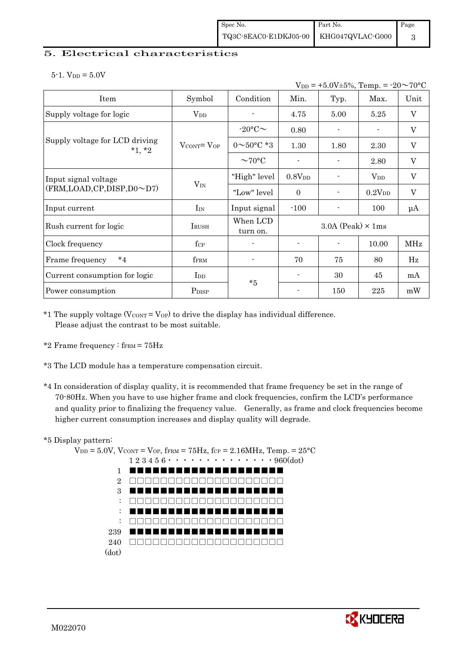#### 5. Electrical characteristics

 $5-1.$  V<sub>DD</sub> =  $5.0V$ 

|                                            |                                   |                          |                          | $V_{DD}$ = +5.0V±5%, Temp. = -20 $\sim$ 70°C |                    |                           |
|--------------------------------------------|-----------------------------------|--------------------------|--------------------------|----------------------------------------------|--------------------|---------------------------|
| Item                                       | Symbol                            | Condition                | Min.                     | Typ.                                         | Max.               | Unit                      |
| Supply voltage for logic                   | $\rm V_{DD}$                      |                          | 4.75                     | 5.00                                         | 5.25               | $\boldsymbol{\mathrm{V}}$ |
|                                            |                                   | $-20$ °C $\sim$          | 0.80                     |                                              |                    | V                         |
| Supply voltage for LCD driving<br>$*1, *2$ | $V_{\text{CONT}} = V_{\text{OP}}$ | $0 \sim 50^{\circ}$ C *3 | 1.30                     | 1.80                                         | 2.30               | $\mathbf V$               |
|                                            |                                   | $\sim$ 70°C              |                          |                                              | 2.80               | $\boldsymbol{\mathrm{V}}$ |
| Input signal voltage                       |                                   | "High" level             | 0.8V <sub>DD</sub>       |                                              | $V_{DD}$           | $\rm V$                   |
| (FRM,LOAD,CP,DISP,D0~D7)                   | $V_{IN}$                          | "Low" level              | $\theta$                 |                                              | 0.2V <sub>DD</sub> | $\mathbf V$               |
| Input current                              | $I_{IN}$                          | Input signal             | $-100$                   |                                              | 100                | μA                        |
| Rush current for logic                     | <b>IRUSH</b>                      | When LCD<br>turn on.     |                          | $3.0A$ (Peak) $\times$ 1ms                   |                    |                           |
| Clock frequency                            | $f_{\rm CP}$                      |                          | $\overline{\phantom{a}}$ | $\overline{\phantom{0}}$                     | 10.00              | <b>MHz</b>                |
| $*_{4}$<br>Frame frequency                 | fFRM                              |                          | 70                       | 75                                           | 80                 | Hz                        |
| Current consumption for logic              | $_{\rm{Lpp}}$                     | $*5$                     |                          | 30                                           | 45                 | mA                        |
| Power consumption                          | P <sub>DISP</sub>                 |                          |                          | 150                                          | 225                | mW                        |

\*1 The supply voltage ( $V_{\text{CONT}} = V_{\text{OP}}$ ) to drive the display has individual difference. Please adjust the contrast to be most suitable.

- \*2 Frame frequency :  $f_{\text{FRM}} = 75 \text{Hz}$
- \*3 The LCD module has a temperature compensation circuit.
- \*4 In consideration of display quality, it is recommended that frame frequency be set in the range of 70-80Hz. When you have to use higher frame and clock frequencies, confirm the LCD's performance and quality prior to finalizing the frequency value. Generally, as frame and clock frequencies become higher current consumption increases and display quality will degrade.

#### \*5 Display pattern:

 $V_{DD} = 5.0V$ ,  $V_{CONT} = V_{OP}$ ,  $f_{FRM} = 75Hz$ ,  $f_{CP} = 2.16MHz$ ,  $Temp. = 25°C$  $1\,2\,3\,4\,5\,6\cdots\cdots\cdots\cdots\cdots\cdots\cdots960(\mathrm{dot})$ 1 2 3 : : : 239 240 □□□□□□□□□□□□□□□□□□□□(dot) ■■■■■■■■■■■■■■■■■■■■ □□□□□□□□□□□□□□□□□□□□ ■■■■■■■■■■■■■■■■■■■■ □□□□□□□□□□□□□□□□□□□□ ■■■■■■■■■■■■■■■■■■■■ □□□□□□□□□□□□□□□□□□□□ ■■■■■■■■■■■■■■■■■■■■

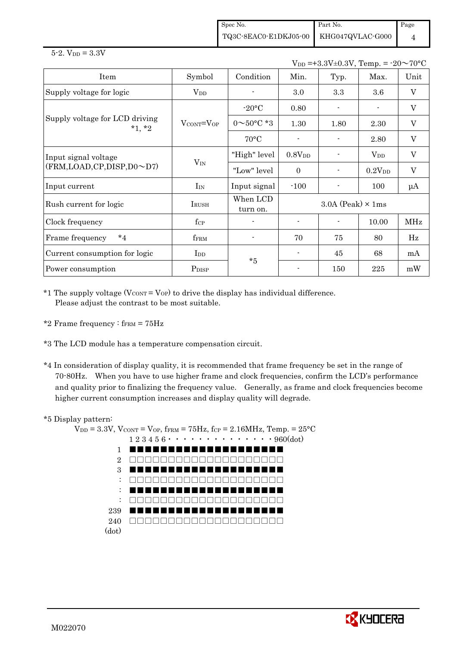Spec No. TQ3C-8EAC0-E1DKJ05-00 Part No. KHG047QVLAC-G000 Page 4

#### $5 - 2.$  V<sub>DD</sub> =  $3.3V$

 $V_{DD} = +3.3V \pm 0.3V$ , Temp. =  $-20 \sim 70$ °C

| Item                                       | Symbol                            | Condition                | Min.                       | Typ. | Max.               | Unit        |
|--------------------------------------------|-----------------------------------|--------------------------|----------------------------|------|--------------------|-------------|
| Supply voltage for logic                   | $\rm V_{DD}$                      |                          | $3.0\,$                    | 3.3  | 3.6                | V           |
|                                            |                                   | $-20\textdegree C$       | 0.80                       |      |                    | V           |
| Supply voltage for LCD driving<br>$*1, *2$ | $V_{\text{CONT}} = V_{\text{OP}}$ | $0 \sim 50^{\circ}$ C *3 | 1.30                       | 1.80 | 2.30               | V           |
|                                            |                                   | $70^{\circ}$ C           |                            |      | 2.80               | V           |
| Input signal voltage                       |                                   | "High" level             | 0.8V <sub>DD</sub>         |      | $\rm V_{DD}$       | $\mathbf V$ |
| $(FRM, LOAD, CP, DISP, D0 \sim D7)$        | $V_{IN}$                          | "Low" level              | $\Omega$                   |      | 0.2V <sub>DD</sub> | $\rm V$     |
| Input current                              | $I_{IN}$                          | Input signal             | $-100$                     |      | 100                | $\mu A$     |
| Rush current for logic                     | IRUSH                             | When LCD<br>turn on.     | $3.0A$ (Peak) $\times$ 1ms |      |                    |             |
| Clock frequency                            | $f_{\rm CP}$                      |                          |                            |      | 10.00              | <b>MHz</b>  |
| $*_{4}$<br>Frame frequency                 | fFRM                              |                          | 70                         | 75   | 80                 | Hz          |
| Current consumption for logic              | $_{\rm{LDD}}$                     | $*5$                     |                            | 45   | 68                 | mA          |
| Power consumption                          | P <sub>DISP</sub>                 |                          |                            | 150  | 225                | mW          |

 $*1$  The supply voltage (V $_{\text{CONT}} =$  V<sub>OP</sub>) to drive the display has individual difference. Please adjust the contrast to be most suitable.

- \*2 Frame frequency :  $f_{\text{FRM}} = 75 \text{Hz}$
- \*3 The LCD module has a temperature compensation circuit.
- \*4 In consideration of display quality, it is recommended that frame frequency be set in the range of 70-80Hz. When you have to use higher frame and clock frequencies, confirm the LCD's performance and quality prior to finalizing the frequency value. Generally, as frame and clock frequencies become higher current consumption increases and display quality will degrade.

#### \*5 Display pattern:



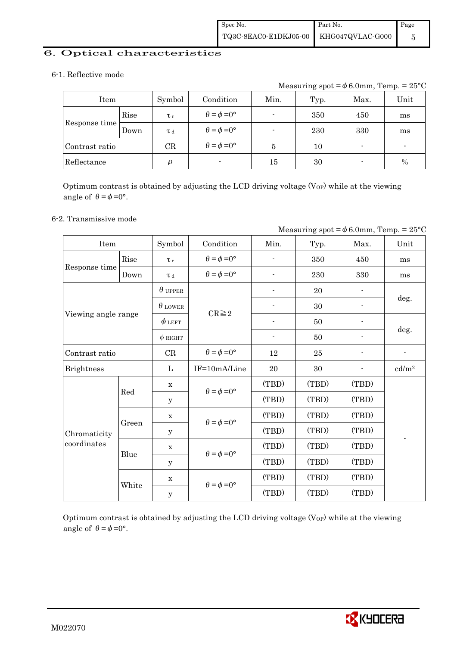#### 6. Optical characteristics

#### 6-1. Reflective mode

Measuring spot =  $\phi$  6.0mm, Temp. = 25°C

| Item           |      | Symbol              | Condition                   | Min.   | Typ. | Max.                     | Unit |
|----------------|------|---------------------|-----------------------------|--------|------|--------------------------|------|
|                | Rise | $\tau_r$            | $\theta = \phi = 0^{\circ}$ |        | 350  | 450                      | ms   |
| Response time  | Down | T d                 | $\theta = \phi = 0^{\circ}$ |        | 230  | 330                      | ms   |
| Contrast ratio |      | CR                  | $\theta = \phi = 0^{\circ}$ | 5      | 10   | $\overline{\phantom{0}}$ | -    |
| Reflectance    |      | $\boldsymbol{\rho}$ | $\blacksquare$              | $15\,$ | 30   | $\overline{\phantom{0}}$ | $\%$ |

Optimum contrast is obtained by adjusting the LCD driving voltage  $(V_{OP})$  while at the viewing angle of  $\theta = \phi = 0^{\circ}$ .

#### 6-2. Transmissive mode

|                     |       |                |                             | Measuring spot = $\phi$ 6.0mm, Temp. = 25°C |       |       |                          |  |
|---------------------|-------|----------------|-----------------------------|---------------------------------------------|-------|-------|--------------------------|--|
| Item                |       | Symbol         | Condition                   | Min.                                        | Typ.  | Max.  | Unit                     |  |
|                     | Rise  | $\tau_r$       | $\theta = \phi = 0^{\circ}$ |                                             | 350   | 450   | ms                       |  |
| Response time       | Down  | T d            | $\theta = \phi = 0^{\circ}$ |                                             | 230   | 330   | ms                       |  |
|                     |       | $\theta$ upper |                             |                                             | 20    |       |                          |  |
|                     |       | $\theta$ LOWER |                             |                                             | 30    |       | deg.                     |  |
| Viewing angle range |       | $\phi$ left    | $CR \geq 2$                 |                                             | 50    |       |                          |  |
|                     |       | $\phi$ RIGHT   |                             | $\overline{\phantom{a}}$                    | 50    |       | deg.                     |  |
| Contrast ratio      |       | CR             | $\theta = \phi = 0^{\circ}$ | 12                                          | 25    |       | $\overline{\phantom{a}}$ |  |
| <b>Brightness</b>   |       | L              | IF=10mA/Line                | 20                                          | 30    |       | cd/m <sup>2</sup>        |  |
|                     | Red   | $\mathbf x$    | $\theta = \phi = 0^{\circ}$ | (TBD)                                       | (TBD) | (TBD) |                          |  |
|                     |       | y              |                             | (TBD)                                       | (TBD) | (TBD) |                          |  |
|                     |       | $\mathbf x$    | $\theta = \phi = 0^{\circ}$ | (TBD)                                       | (TBD) | (TBD) |                          |  |
| Chromaticity        | Green | y              |                             | (TBD)                                       | (TBD) | (TBD) |                          |  |
| coordinates         |       | $\mathbf x$    | $\theta = \phi = 0^{\circ}$ | (TBD)                                       | (TBD) | (TBD) |                          |  |
|                     | Blue  | У              |                             | (TBD)                                       | (TBD) | (TBD) |                          |  |
|                     |       | $\mathbf X$    |                             | (TBD)                                       | (TBD) | (TBD) |                          |  |
|                     | White | $\mathbf{y}$   | $\theta = \phi = 0^{\circ}$ | (TBD)                                       | (TBD) | (TBD) |                          |  |

Optimum contrast is obtained by adjusting the LCD driving voltage  $(V_{OP})$  while at the viewing angle of  $\theta = \phi = 0^{\circ}$ .

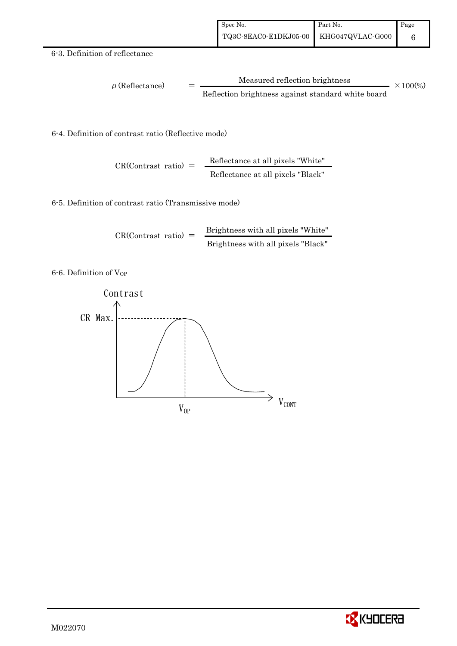#### 6-3. Definition of reflectance

$$
\rho (Reflectance) = \frac{Measured reflection brightness}{Reflection brightness against standard white board} \times 100\%
$$

6-4. Definition of contrast ratio (Reflective mode)

$$
CR(Contrast ratio) = \frac{Reflectance at all pixels "White"
$$
Reflectance at all pixels "Black"

6-5. Definition of contrast ratio (Transmissive mode)

$$
CR(Contrast ratio) = \frac{Brightness with all pixels "White" }{Brightness with all pixels "Black"}
$$

6-6. Definition of VOP



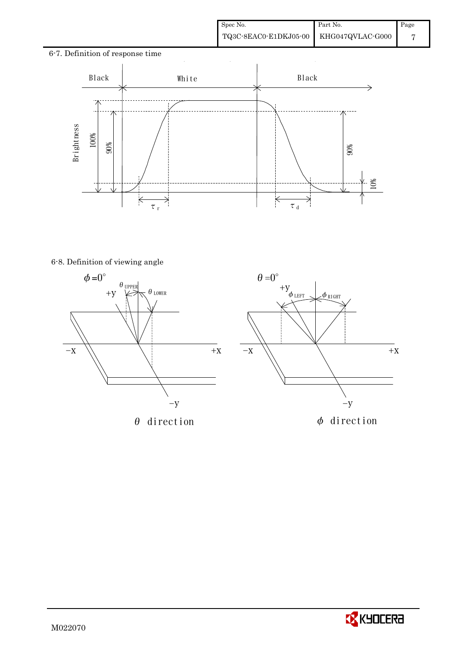10%

# 6-7. Definition of response time  $\ddot{\phantom{a}}$ Black | White | Black - 71 6-8. Definition of viewing angle 90%  $\overline{\times}$ ₹ τr  $\tau$ <sub>d</sub>





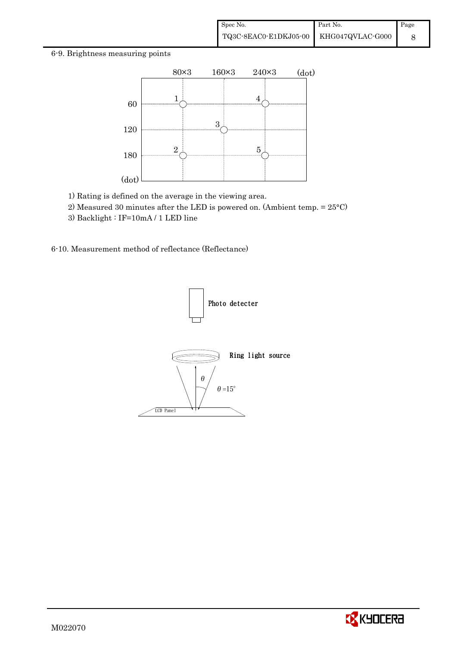#### 6-9. Brightness measuring points



- 1) Rating is defined on the average in the viewing area.
- 2) Measured 30 minutes after the LED is powered on. (Ambient temp. = 25°C)
- 3) Backlight : IF=10mA / 1 LED line

6-10. Measurement method of reflectance (Reflectance)



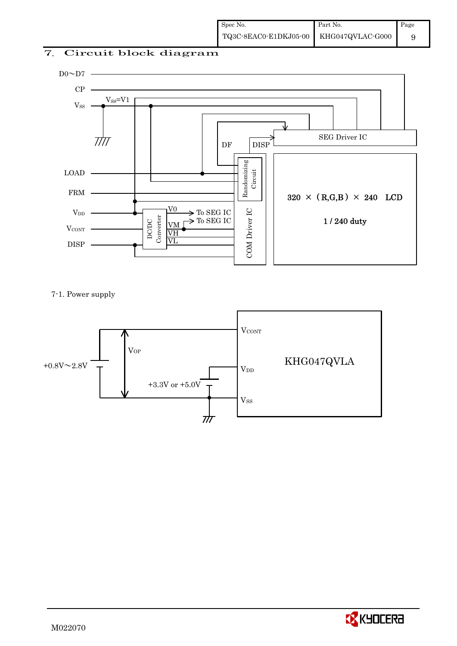### 7. Circuit block diagram



7-1. Power supply



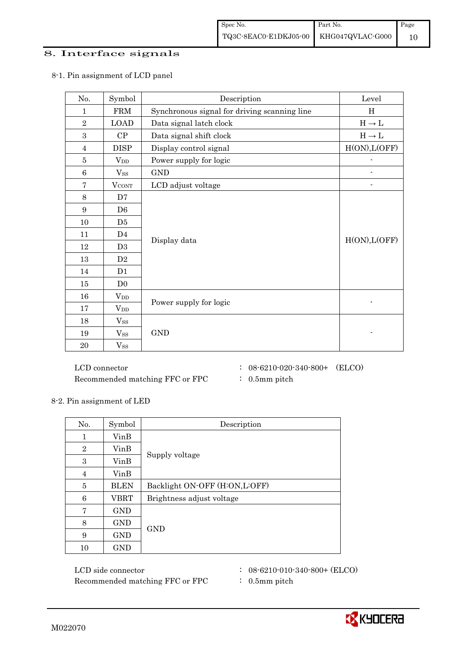#### 8. Interface signals

| No.             | Symbol         | Description                                  | Level                             |
|-----------------|----------------|----------------------------------------------|-----------------------------------|
| 1               | <b>FRM</b>     | Synchronous signal for driving scanning line | H                                 |
| $\overline{2}$  | <b>LOAD</b>    | Data signal latch clock                      | $\text{H} \rightarrow \text{L}$   |
| 3               | CP             | Data signal shift clock                      | $\mathrm{H}\rightarrow\mathrm{L}$ |
| $\overline{4}$  | <b>DISP</b>    | Display control signal                       | H(ON), L(OFF)                     |
| $\bf 5$         | $V_{DD}$       | Power supply for logic                       | $\overline{a}$                    |
| $6\phantom{1}6$ | $V_{SS}$       | <b>GND</b>                                   |                                   |
| $\overline{7}$  | <b>VCONT</b>   | LCD adjust voltage                           |                                   |
| 8               | D7             |                                              |                                   |
| 9               | D <sub>6</sub> |                                              |                                   |
| 10              | D <sub>5</sub> |                                              |                                   |
| 11              | D <sub>4</sub> |                                              |                                   |
| 12              | D <sub>3</sub> | Display data                                 | H(ON), L(OFF)                     |
| 13              | D2             |                                              |                                   |
| 14              | D <sub>1</sub> |                                              |                                   |
| 15              | D <sub>0</sub> |                                              |                                   |
| 16              | $V_{DD}$       |                                              |                                   |
| $17\,$          | $V_{DD}$       | Power supply for logic                       |                                   |
| 18              | $V_{SS}$       |                                              |                                   |
| 19              | $V_{SS}$       | <b>GND</b>                                   |                                   |
| 20              | $V_{SS}$       |                                              |                                   |

#### 8-1. Pin assignment of LCD panel

 $\rm{LCD~connector} \hspace{1.5cm} : \hspace{.3cm} 08\text{-}6210\text{-}020\text{-}340\text{-}800+ \hspace{.3cm} (\rm{ELCO})$ Recommended matching FFC or FPC  $\qquad : 0.5$ mm pitch

- 
- 
- 8-2. Pin assignment of LED

| No.            | Symbol      | Description                   |  |  |
|----------------|-------------|-------------------------------|--|--|
| 1              | VinB        |                               |  |  |
| $\overline{2}$ | VinB        |                               |  |  |
| 3              | VinB        | Supply voltage                |  |  |
| $\overline{4}$ | VinB        |                               |  |  |
| 5              | <b>BLEN</b> | Backlight ON-OFF (H:ON,L:OFF) |  |  |
| 6              | <b>VBRT</b> | Brightness adjust voltage     |  |  |
| 7              | GND         |                               |  |  |
| 8              | GND         | <b>GND</b>                    |  |  |
| 9              | <b>GND</b>  |                               |  |  |
| 10             | <b>GND</b>  |                               |  |  |

LCD side connector : 08-6210-010-340-800+ (ELCO) Recommended matching FFC or FPC : 0.5mm pitch

- 
- 

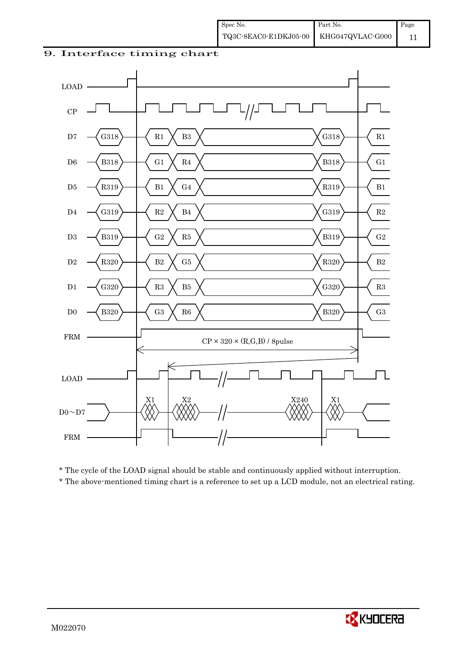#### 9. Interface timing chart



\* The cycle of the LOAD signal should be stable and continuously applied without interruption.

\* The above-mentioned timing chart is a reference to set up a LCD module, not an electrical rating.

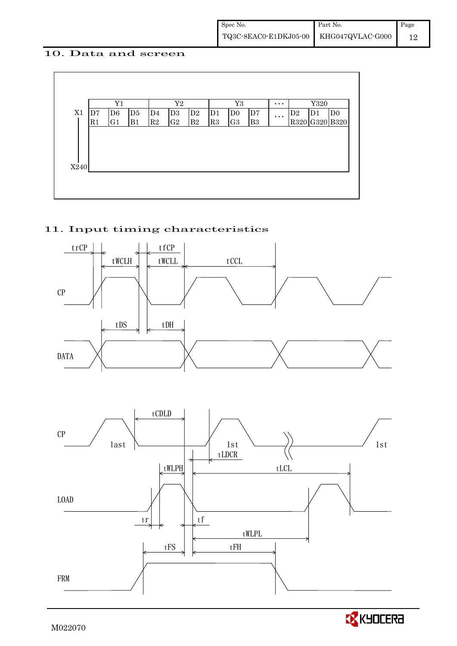#### 10. Data and screen



#### 11. Input timing characteristics



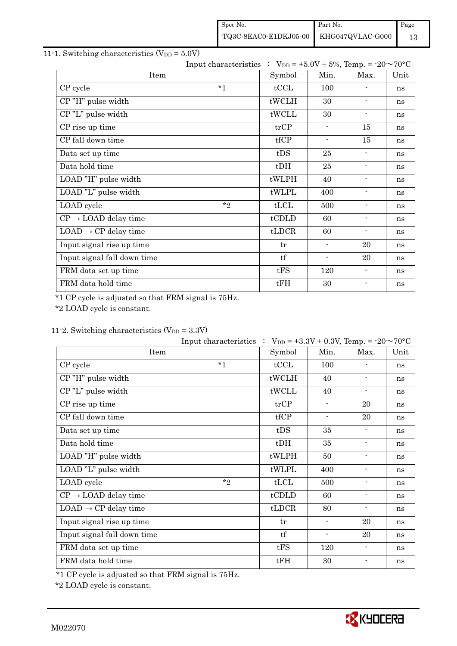| Spec No.                               | Part No. | Page |
|----------------------------------------|----------|------|
| TQ3C-8EAC0-E1DKJ05-00 KHG047QVLAC-G000 |          | 13   |

### 11-1. Switching characteristics  $(V_{DD} = 5.0V)$

|                                  | Input characteristics : $V_{DD} = +5.0V \pm 5\%$ , Temp. = -20~70°C |        |                          |                          |      |
|----------------------------------|---------------------------------------------------------------------|--------|--------------------------|--------------------------|------|
| Item                             |                                                                     | Symbol | Min.                     | Max.                     | Unit |
| CP cycle                         | $*_{1}$                                                             | tCCL   | 100                      |                          | ns   |
| CP"H" pulse width                |                                                                     | tWCLH  | 30                       | $\blacksquare$           | ns   |
| CP"L" pulse width                |                                                                     | tWCLL  | 30                       | $\overline{\phantom{a}}$ | ns   |
| CP rise up time                  |                                                                     | trCP   | $\blacksquare$           | 15                       | ns   |
| CP fall down time                |                                                                     | tfCP   | $\overline{\phantom{a}}$ | 15                       | ns   |
| Data set up time                 |                                                                     | tDS    | 25                       | $\overline{\phantom{a}}$ | ns   |
| Data hold time                   |                                                                     | $t$ DH | 25                       | $\blacksquare$           | ns   |
| LOAD "H" pulse width             |                                                                     | tWLPH  | 40                       | $\overline{\phantom{a}}$ | ns   |
| LOAD "L" pulse width             |                                                                     | tWLPL  | 400                      | $\blacksquare$           | ns   |
| LOAD cycle                       | $*$                                                                 | tLCL   | 500                      | $\overline{\phantom{a}}$ | ns   |
| $CP \rightarrow$ LOAD delay time |                                                                     | tCDLD  | 60                       | $\overline{\phantom{a}}$ | ns   |
| $LOAD \rightarrow CP$ delay time |                                                                     | tLDCR  | 60                       | $\blacksquare$           | ns   |
| Input signal rise up time        |                                                                     | tr     | $\overline{\phantom{a}}$ | 20                       | ns   |
| Input signal fall down time      |                                                                     | tf     | $\overline{\phantom{a}}$ | 20                       | ns   |
| FRM data set up time             |                                                                     | tFS    | 120                      | $\blacksquare$           | ns   |
| FRM data hold time               |                                                                     | tFH    | 30                       | $\blacksquare$           | ns   |

\*1 CP cycle is adjusted so that FRM signal is 75Hz.

\*2 LOAD cycle is constant.

### 11-2. Switching characteristics  $(V_{DD} = 3.3V)$

|                                  | Input characteristics $\therefore$ V <sub>DD</sub> = +3.3V ± 0.3V, Temp. = -20 $\sim$ 70°C |        |                          |                          |      |
|----------------------------------|--------------------------------------------------------------------------------------------|--------|--------------------------|--------------------------|------|
| Item                             |                                                                                            | Symbol | Min.                     | Max.                     | Unit |
| CP cycle                         | $*_{1}$                                                                                    | tCCL   | 100                      |                          | ns   |
| CP"H" pulse width                |                                                                                            | tWCLH  | 40                       | $\blacksquare$           | ns   |
| CP"L" pulse width                |                                                                                            | tWCLL  | 40                       | $\overline{\phantom{a}}$ | ns   |
| CP rise up time                  |                                                                                            | trCP   | $\overline{\phantom{a}}$ | 20                       | ns   |
| CP fall down time                |                                                                                            | tfCP   | $\overline{\phantom{a}}$ | 20                       | ns   |
| Data set up time                 |                                                                                            | tDS    | 35                       | $\blacksquare$           | ns   |
| Data hold time                   |                                                                                            | $t$ DH | 35                       | $\overline{\phantom{a}}$ | ns   |
| LOAD "H" pulse width             |                                                                                            | tWLPH  | 50                       | $\overline{\phantom{a}}$ | ns   |
| LOAD "L" pulse width             |                                                                                            | tWLPL  | 400                      | $\overline{\phantom{a}}$ | ns   |
| LOAD cycle                       | $*$                                                                                        | tLCL   | 500                      | $\blacksquare$           | ns   |
| $CP \rightarrow$ LOAD delay time |                                                                                            | tCDLD  | 60                       | $\overline{\phantom{a}}$ | ns   |
| $LOAD \rightarrow CP$ delay time |                                                                                            | tLDCR  | 80                       | $\blacksquare$           | ns   |
| Input signal rise up time        |                                                                                            | tr     | $\overline{\phantom{a}}$ | 20                       | ns   |
| Input signal fall down time      |                                                                                            | tf     | $\blacksquare$           | 20                       | ns   |
| FRM data set up time             |                                                                                            | tFS    | 120                      | $\overline{\phantom{a}}$ | ns   |
| FRM data hold time               |                                                                                            | tFH    | 30                       |                          | ns   |

\*1 CP cycle is adjusted so that FRM signal is 75Hz.

\*2 LOAD cycle is constant.

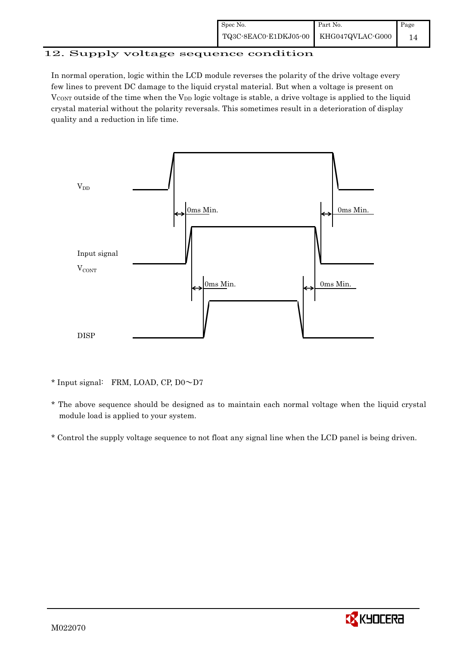#### 12. Supply voltage sequence condition

In normal operation, logic within the LCD module reverses the polarity of the drive voltage every few lines to prevent DC damage to the liquid crystal material. But when a voltage is present on  $V_{\text{CONT}}$  outside of the time when the  $V_{\text{DD}}$  logic voltage is stable, a drive voltage is applied to the liquid crystal material without the polarity reversals. This sometimes result in a deterioration of display quality and a reduction in life time.



\* Input signal: FRM, LOAD, CP, D0~D7

- \* The above sequence should be designed as to maintain each normal voltage when the liquid crystal module load is applied to your system.
- \* Control the supply voltage sequence to not float any signal line when the LCD panel is being driven.

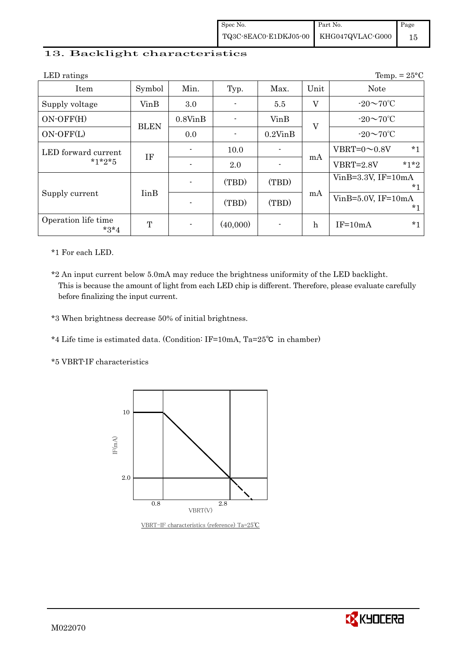#### 13. Backlight characteristics

| LED ratings                   |                          |               |          |               |              | Temp. = $25^{\circ}$ C         |
|-------------------------------|--------------------------|---------------|----------|---------------|--------------|--------------------------------|
| Item                          | Symbol                   | Min.          | Typ.     | Max.          | Unit         | <b>Note</b>                    |
| Supply voltage                | VinB                     | 3.0           |          | 5.5           | $\rm V$      | $-20\sim70^{\circ}$ C          |
| $ON-OFF(H)$                   |                          | $0.8V$ in $B$ |          | VinB          | V            | $-20\sim70^{\circ}$ C          |
| $ON-OFF(L)$                   | <b>BLEN</b>              | 0.0           |          | $0.2$ Vin $B$ |              | $-20\sim70^{\circ}$ C          |
| LED forward current           | <b>IF</b>                |               | 10.0     |               |              | $*_{1}$<br>VBRT= $0 \sim 0.8V$ |
| $*1*2*5$                      |                          |               | 2.0      |               | mA           | $*1*2$<br><b>VBRT=2.8V</b>     |
|                               |                          |               | (TBD)    | (TBD)         |              | $VinB=3.3V$ , IF= $10mA$<br>*1 |
| Supply current                | <b>I</b> in <sub>B</sub> |               | (TBD)    | (TBD)         | mA           | $VinB=5.0V$ , IF=10mA<br>*1    |
| Operation life time<br>$*3*4$ | T                        |               | (40,000) |               | $\mathbf{h}$ | $*1$<br>$IF=10mA$              |

\*1 For each LED.

\*2 An input current below 5.0mA may reduce the brightness uniformity of the LED backlight. This is because the amount of light from each LED chip is different. Therefore, please evaluate carefully before finalizing the input current.

\*3 When brightness decrease 50% of initial brightness.

\*4 Life time is estimated data. (Condition: IF=10mA, Ta=25㷄 in chamber)

\*5 VBRT-IF characteristics



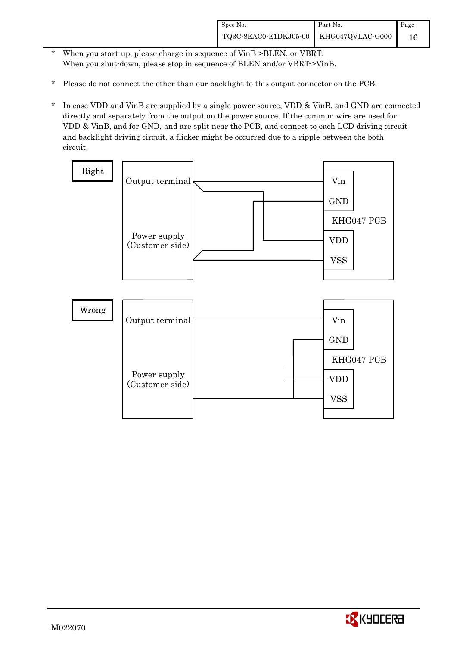- \* When you start-up, please charge in sequence of VinB->BLEN, or VBRT. When you shut-down, please stop in sequence of BLEN and/or VBRT->VinB.
- \* Please do not connect the other than our backlight to this output connector on the PCB.
- \* In case VDD and VinB are supplied by a single power source, VDD & VinB, and GND are connected directly and separately from the output on the power source. If the common wire are used for VDD & VinB, and for GND, and are split near the PCB, and connect to each LCD driving circuit and backlight driving circuit, a flicker might be occurred due to a ripple between the both circuit.



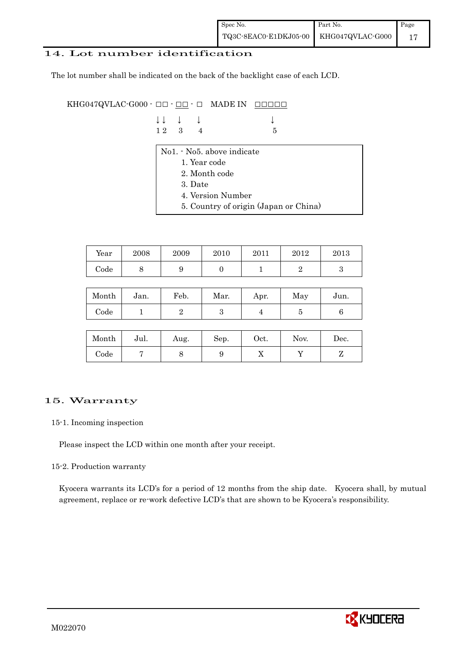#### 14. Lot number identification

The lot number shall be indicated on the back of the backlight case of each LCD.

KHG047QVLAC-G000  $\cdot$  OO  $\cdot$  OO  $\cdot$  O MADE IN OOOOO

| $\downarrow \downarrow \quad \downarrow \quad \downarrow$ |  | $\downarrow$ |
|-----------------------------------------------------------|--|--------------|
| $12 \quad 3 \quad 4$                                      |  | $-5$         |

- No1. No5. above indicate
	- 1. Year code
	- 2. Month code
	- 3. Date
	- 4. Version Number
	- 5. Country of origin (Japan or China)

| Year | 2008 | 2009 | 2010 | 2011 | 2012 | 2013 |
|------|------|------|------|------|------|------|
| Code | ັ    |      |      |      |      |      |

| Month      | Jan. | Feb. | Mar. | Apr. | May | Jun. |
|------------|------|------|------|------|-----|------|
| $\rm Code$ |      |      |      |      | ບ   |      |

| Month      | Jul. | Aug. | Sep. | $\rm Oct.$ | Nov. | Dec. |
|------------|------|------|------|------------|------|------|
| $\rm Code$ |      |      |      | ∡⊾         |      |      |

#### 15. Warranty

#### 15-1. Incoming inspection

Please inspect the LCD within one month after your receipt.

#### 15-2. Production warranty

 Kyocera warrants its LCD's for a period of 12 months from the ship date. Kyocera shall, by mutual agreement, replace or re-work defective LCD's that are shown to be Kyocera's responsibility.

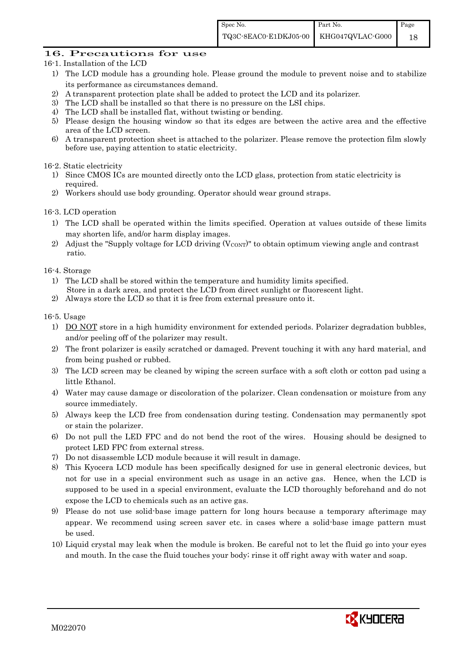#### 16. Precautions for use

- 16-1. Installation of the LCD
	- 1) The LCD module has a grounding hole. Please ground the module to prevent noise and to stabilize its performance as circumstances demand.
	- 2) A transparent protection plate shall be added to protect the LCD and its polarizer.
	- 3) The LCD shall be installed so that there is no pressure on the LSI chips.
	- 4) The LCD shall be installed flat, without twisting or bending.
	- 5) Please design the housing window so that its edges are between the active area and the effective area of the LCD screen.
	- 6) A transparent protection sheet is attached to the polarizer. Please remove the protection film slowly before use, paying attention to static electricity.

#### 16-2. Static electricity

- 1) Since CMOS ICs are mounted directly onto the LCD glass, protection from static electricity is required.
- 2) Workers should use body grounding. Operator should wear ground straps.

#### 16-3. LCD operation

- 1) The LCD shall be operated within the limits specified. Operation at values outside of these limits may shorten life, and/or harm display images.
- 2) Adjust the "Supply voltage for LCD driving  $(V_{\text{CONT}})$ " to obtain optimum viewing angle and contrast ratio.

#### 16-4. Storage

- 1) The LCD shall be stored within the temperature and humidity limits specified. Store in a dark area, and protect the LCD from direct sunlight or fluorescent light.
- 2) Always store the LCD so that it is free from external pressure onto it.

#### 16-5. Usage

- 1) DO NOT store in a high humidity environment for extended periods. Polarizer degradation bubbles, and/or peeling off of the polarizer may result.
- 2) The front polarizer is easily scratched or damaged. Prevent touching it with any hard material, and from being pushed or rubbed.
- 3) The LCD screen may be cleaned by wiping the screen surface with a soft cloth or cotton pad using a little Ethanol.
- 4) Water may cause damage or discoloration of the polarizer. Clean condensation or moisture from any source immediately.
- 5) Always keep the LCD free from condensation during testing. Condensation may permanently spot or stain the polarizer.
- 6) Do not pull the LED FPC and do not bend the root of the wires. Housing should be designed to protect LED FPC from external stress.
- 7) Do not disassemble LCD module because it will result in damage.
- 8) This Kyocera LCD module has been specifically designed for use in general electronic devices, but not for use in a special environment such as usage in an active gas. Hence, when the LCD is supposed to be used in a special environment, evaluate the LCD thoroughly beforehand and do not expose the LCD to chemicals such as an active gas.
- 9) Please do not use solid-base image pattern for long hours because a temporary afterimage may appear. We recommend using screen saver etc. in cases where a solid-base image pattern must be used.
- 10) Liquid crystal may leak when the module is broken. Be careful not to let the fluid go into your eyes and mouth. In the case the fluid touches your body; rinse it off right away with water and soap.

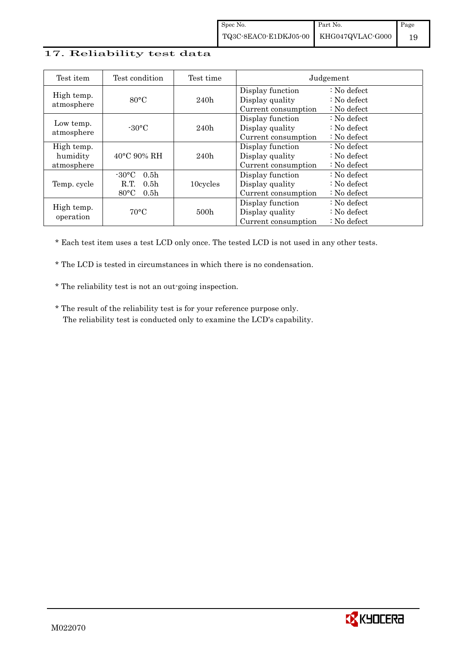#### 17. Reliability test data

| Test item                            | Test condition                                                                                        | Test time        | Judgement                                                  |                                                                            |
|--------------------------------------|-------------------------------------------------------------------------------------------------------|------------------|------------------------------------------------------------|----------------------------------------------------------------------------|
| High temp.<br>atmosphere             | $80^{\circ}$ C                                                                                        | 240h             | Display function<br>Display quality<br>Current consumption | $\therefore$ No defect<br>$\therefore$ No defect<br>$\therefore$ No defect |
| Low temp.<br>atmosphere              | $-30^{\circ}$ C                                                                                       | 240h             | Display function<br>Display quality<br>Current consumption | $\therefore$ No defect<br>: No defect<br>$\therefore$ No defect            |
| High temp.<br>humidity<br>atmosphere | $40^{\circ}$ C 90% RH                                                                                 | 240h             | Display function<br>Display quality<br>Current consumption | : No defect<br>$\therefore$ No defect<br>$\therefore$ No defect            |
| Temp. cycle                          | $-30^{\circ}$ C<br>0.5 <sub>h</sub><br>R.T.<br>0.5 <sub>h</sub><br>$80^{\circ}$ C<br>0.5 <sub>h</sub> | 10cycles         | Display function<br>Display quality<br>Current consumption | $\therefore$ No defect<br>$\therefore$ No defect<br>$\therefore$ No defect |
| High temp.<br>operation              | $70^{\circ}$ C                                                                                        | 500 <sub>h</sub> | Display function<br>Display quality<br>Current consumption | $\therefore$ No defect<br>$\therefore$ No defect<br>$\therefore$ No defect |

\* Each test item uses a test LCD only once. The tested LCD is not used in any other tests.

\* The LCD is tested in circumstances in which there is no condensation.

\* The reliability test is not an out-going inspection.

 \* The result of the reliability test is for your reference purpose only. The reliability test is conducted only to examine the LCD's capability.

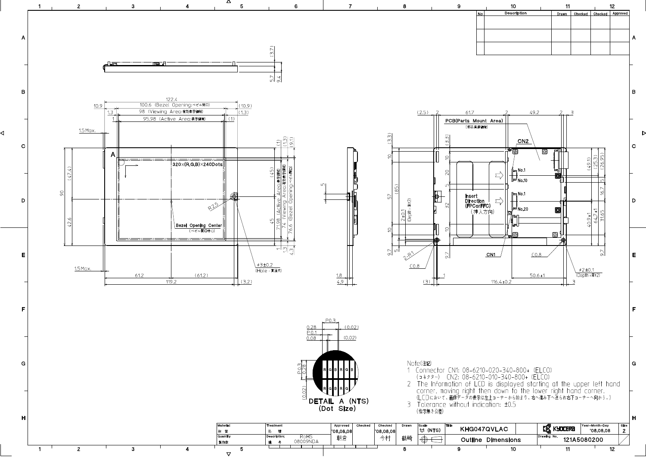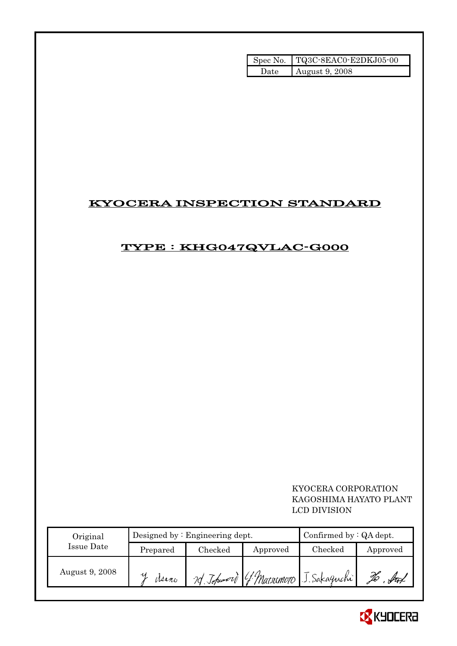|       | Spec No. TQ3C-8EAC0-E2DKJ05-00 |
|-------|--------------------------------|
| 'Jate | August 9, 2008                 |

# KYOCERA INSPECTION STANDARD

# TYPE : KHG047QVLAC-G000

 KYOCERA CORPORATION KAGOSHIMA HAYATO PLANT LCD DIVISION

| Original       |           | Designed by $:$ Engineering dept. | Confirmed by $:QA$ dept. |                                       |          |
|----------------|-----------|-----------------------------------|--------------------------|---------------------------------------|----------|
| Issue Date     | Prepared  | $\rm Checked$                     | Approved                 | $\rm Checked$                         | Approved |
| August 9, 2008 | ч<br>Mano |                                   |                          | 20 Johnnord G. Marremoro J. Sakaguchi |          |

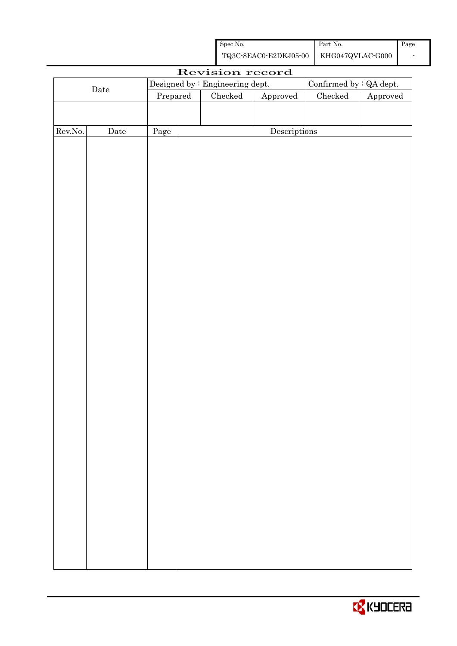| Spec No.                                 | Part No. | Page |
|------------------------------------------|----------|------|
| TQ3C-8EAC0-E2DKJ05-00   KHG047QVLAC-G000 |          |      |

| Revision record |             |          |  |                                 |                        |                         |          |
|-----------------|-------------|----------|--|---------------------------------|------------------------|-------------------------|----------|
|                 |             |          |  | Designed by : Engineering dept. |                        | Confirmed by : QA dept. |          |
| $\rm{Date}$     |             | Prepared |  | Checked                         | ${\Large\bf Approved}$ | $\rm Checked$           | Approved |
|                 |             |          |  |                                 |                        |                         |          |
|                 |             |          |  |                                 |                        |                         |          |
| Rev.No.         | $\rm{Date}$ | Page     |  |                                 | Descriptions           |                         |          |
|                 |             |          |  |                                 |                        |                         |          |
|                 |             |          |  |                                 |                        |                         |          |
|                 |             |          |  |                                 |                        |                         |          |
|                 |             |          |  |                                 |                        |                         |          |
|                 |             |          |  |                                 |                        |                         |          |
|                 |             |          |  |                                 |                        |                         |          |
|                 |             |          |  |                                 |                        |                         |          |
|                 |             |          |  |                                 |                        |                         |          |
|                 |             |          |  |                                 |                        |                         |          |
|                 |             |          |  |                                 |                        |                         |          |
|                 |             |          |  |                                 |                        |                         |          |
|                 |             |          |  |                                 |                        |                         |          |
|                 |             |          |  |                                 |                        |                         |          |
|                 |             |          |  |                                 |                        |                         |          |
|                 |             |          |  |                                 |                        |                         |          |
|                 |             |          |  |                                 |                        |                         |          |
|                 |             |          |  |                                 |                        |                         |          |
|                 |             |          |  |                                 |                        |                         |          |
|                 |             |          |  |                                 |                        |                         |          |
|                 |             |          |  |                                 |                        |                         |          |
|                 |             |          |  |                                 |                        |                         |          |
|                 |             |          |  |                                 |                        |                         |          |
|                 |             |          |  |                                 |                        |                         |          |
|                 |             |          |  |                                 |                        |                         |          |
|                 |             |          |  |                                 |                        |                         |          |
|                 |             |          |  |                                 |                        |                         |          |
|                 |             |          |  |                                 |                        |                         |          |
|                 |             |          |  |                                 |                        |                         |          |
|                 |             |          |  |                                 |                        |                         |          |
|                 |             |          |  |                                 |                        |                         |          |
|                 |             |          |  |                                 |                        |                         |          |
|                 |             |          |  |                                 |                        |                         |          |
|                 |             |          |  |                                 |                        |                         |          |
|                 |             |          |  |                                 |                        |                         |          |
|                 |             |          |  |                                 |                        |                         |          |

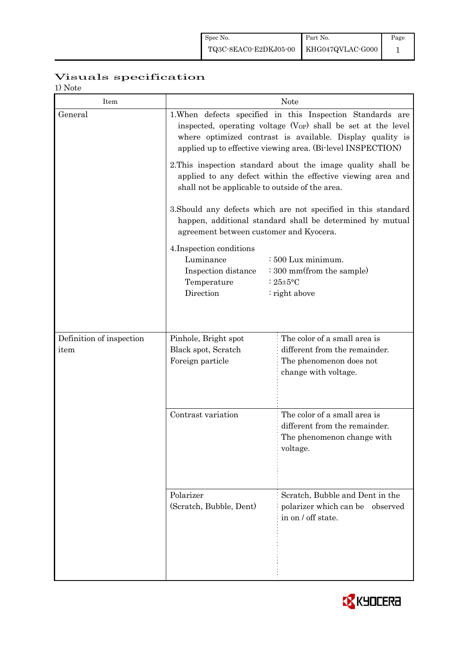# Visuals specification

1) Note

| 17 1 V U U U<br>Item     | <b>Note</b>                                                                                                                                                                                                                                                 |                                                                                                         |  |  |  |  |
|--------------------------|-------------------------------------------------------------------------------------------------------------------------------------------------------------------------------------------------------------------------------------------------------------|---------------------------------------------------------------------------------------------------------|--|--|--|--|
| General                  | 1. When defects specified in this Inspection Standards are<br>inspected, operating voltage $(V_{OP})$ shall be set at the level<br>where optimized contrast is available. Display quality is<br>applied up to effective viewing area. (Bi-level INSPECTION) |                                                                                                         |  |  |  |  |
|                          | 2. This inspection standard about the image quality shall be<br>applied to any defect within the effective viewing area and<br>shall not be applicable to outside of the area.                                                                              |                                                                                                         |  |  |  |  |
|                          | 3. Should any defects which are not specified in this standard<br>happen, additional standard shall be determined by mutual<br>agreement between customer and Kyocera.                                                                                      |                                                                                                         |  |  |  |  |
|                          | 4. Inspection conditions<br>Luminance<br>$\div 500$ Lux minimum.<br>: 300 mm(from the sample)<br>Inspection distance<br>Temperature<br>: $25 \pm 5$ °C<br>Direction<br>: right above                                                                        |                                                                                                         |  |  |  |  |
| Definition of inspection | Pinhole, Bright spot                                                                                                                                                                                                                                        | The color of a small area is                                                                            |  |  |  |  |
| item                     | Black spot, Scratch<br>Foreign particle                                                                                                                                                                                                                     | different from the remainder.<br>The phenomenon does not<br>change with voltage.                        |  |  |  |  |
|                          | Contrast variation                                                                                                                                                                                                                                          | The color of a small area is<br>different from the remainder.<br>The phenomenon change with<br>voltage. |  |  |  |  |
|                          | Polarizer<br>(Scratch, Bubble, Dent)                                                                                                                                                                                                                        | Scratch, Bubble and Dent in the<br>polarizer which can be observed<br>in on / off state.                |  |  |  |  |

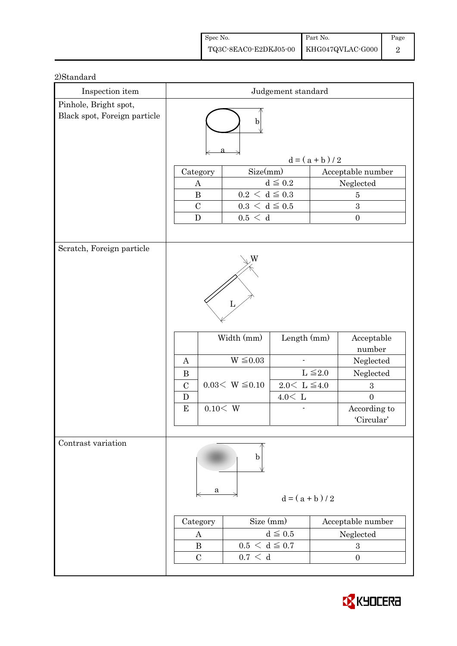| Spec No.                               | Part No. | Page |
|----------------------------------------|----------|------|
| TQ3C-8EAC0-E2DKJ05-00 KHG047QVLAC-G000 |          |      |

| Inspection item                                       | Judgement standard                                                                                     |          |                      |                         |                 |                                |
|-------------------------------------------------------|--------------------------------------------------------------------------------------------------------|----------|----------------------|-------------------------|-----------------|--------------------------------|
| Pinhole, Bright spot,<br>Black spot, Foreign particle | $\mathbf b$                                                                                            |          |                      |                         |                 |                                |
|                                                       |                                                                                                        |          |                      |                         | $d = (a + b)/2$ |                                |
|                                                       | Category                                                                                               |          | Size(mm)             |                         |                 | Acceptable number              |
|                                                       | $\boldsymbol{A}$                                                                                       |          |                      | $d\leqq0.2$             |                 | Neglected                      |
|                                                       | $\, {\bf B}$<br>$0.2\,<\,\mathrm{d}\leq0.3$<br>$\bf 5$<br>$0.3\,<\,\mathrm{d}\leq0.5$<br>$\mathcal{C}$ |          |                      |                         | $\sqrt{3}$      |                                |
|                                                       | ${\bf D}$                                                                                              |          | 0.5 < d              |                         |                 | $\boldsymbol{0}$               |
|                                                       |                                                                                                        |          |                      |                         |                 |                                |
| Scratch, Foreign particle                             |                                                                                                        |          |                      |                         |                 |                                |
|                                                       |                                                                                                        |          |                      |                         |                 |                                |
|                                                       | Width (mm)<br>Length (mm)                                                                              |          | Acceptable<br>number |                         |                 |                                |
|                                                       | $W \leq 0.03$<br>$\mathbf{A}$                                                                          |          | Neglected            |                         |                 |                                |
|                                                       | $\bf{B}$                                                                                               |          |                      |                         | $L \leq 2.0$    | Neglected                      |
|                                                       | $\mathcal{C}$                                                                                          |          | $0.03< W \leq 0.10$  | $2.0<\,$ L $\leqq\!4.0$ |                 | $\boldsymbol{3}$               |
|                                                       | $\mathbf D$<br>${\bf E}$                                                                               | 0.10 < W |                      | $4.0<\,$ L              |                 | $\overline{0}$<br>According to |
|                                                       |                                                                                                        |          |                      |                         |                 | 'Circular'                     |
|                                                       |                                                                                                        |          |                      |                         |                 |                                |
| Contrast variation                                    |                                                                                                        | a        | b                    | $d = (a + b)/2$         |                 |                                |
|                                                       | Size (mm)<br>Acceptable number<br>Category                                                             |          |                      |                         |                 |                                |
|                                                       | $d \leqq 0.5$<br>$\boldsymbol{A}$                                                                      |          |                      |                         |                 | Neglected                      |
|                                                       | $0.5 < d \leq 0.7$<br>$\bf{B}$<br>$\boldsymbol{3}$                                                     |          |                      |                         |                 |                                |
|                                                       | $\mathcal{C}$                                                                                          |          | 0.7 < d              |                         |                 | $\boldsymbol{0}$               |